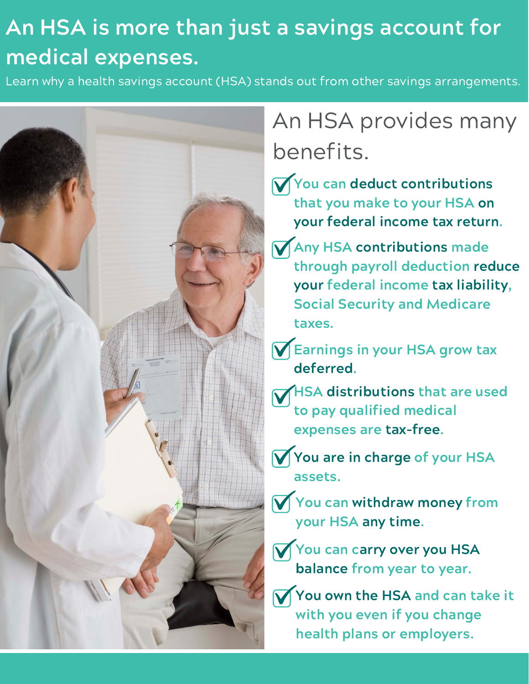# An HSA is more than just a savings account for medical expenses.

Learn why a health savings account (HSA) stands out from other savings arrangements.